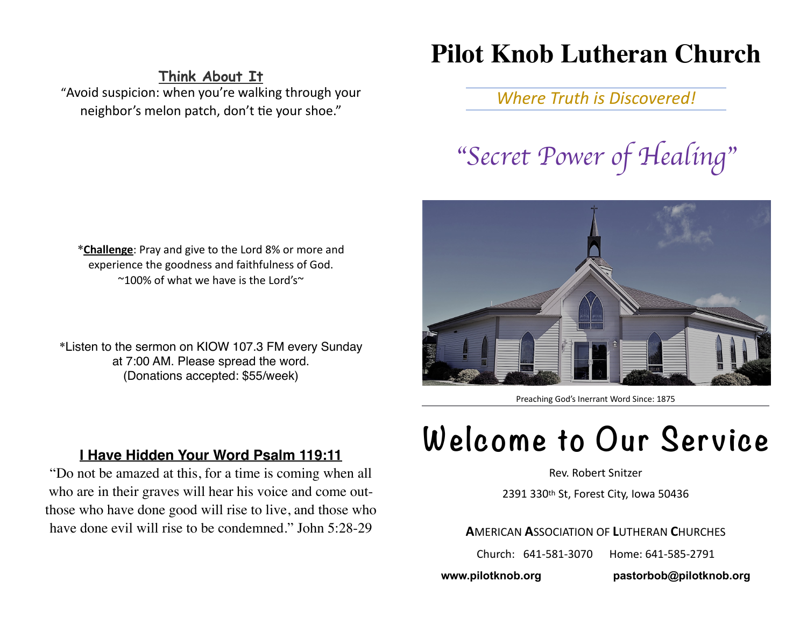# **Pilot Knob Lutheran Church**

**Think About It** 

"Avoid suspicion: when you're walking through your neighbor's melon patch, don't tie your shoe."

*Where Truth is Discovered!* 

"*Secret Power of Healing*"

\***Challenge**: Pray and give to the Lord 8% or more and experience the goodness and faithfulness of God.  $\sim$ 100% of what we have is the Lord's $\sim$ 

\*Listen to the sermon on KIOW 107.3 FM every Sunday at 7:00 AM. Please spread the word. (Donations accepted: \$55/week)



Preaching God's Inerrant Word Since: 1875

## **I Have Hidden Your Word Psalm 119:11**

"Do not be amazed at this, for a time is coming when all who are in their graves will hear his voice and come outthose who have done good will rise to live, and those who have done evil will rise to be condemned." John 5:28-29

# **Welcome to Our Service**

Rev. Robert Snitzer

2391 330th St, Forest City, Iowa 50436

**A**MERICAN **A**SSOCIATION OF **L**UTHERAN **C**HURCHES

Church: 641-581-3070 Home: 641-585-2791

**www.pilotknob.org [pastorbob@pilotknob.org](mailto:pastorbob@pilotknob.org)**